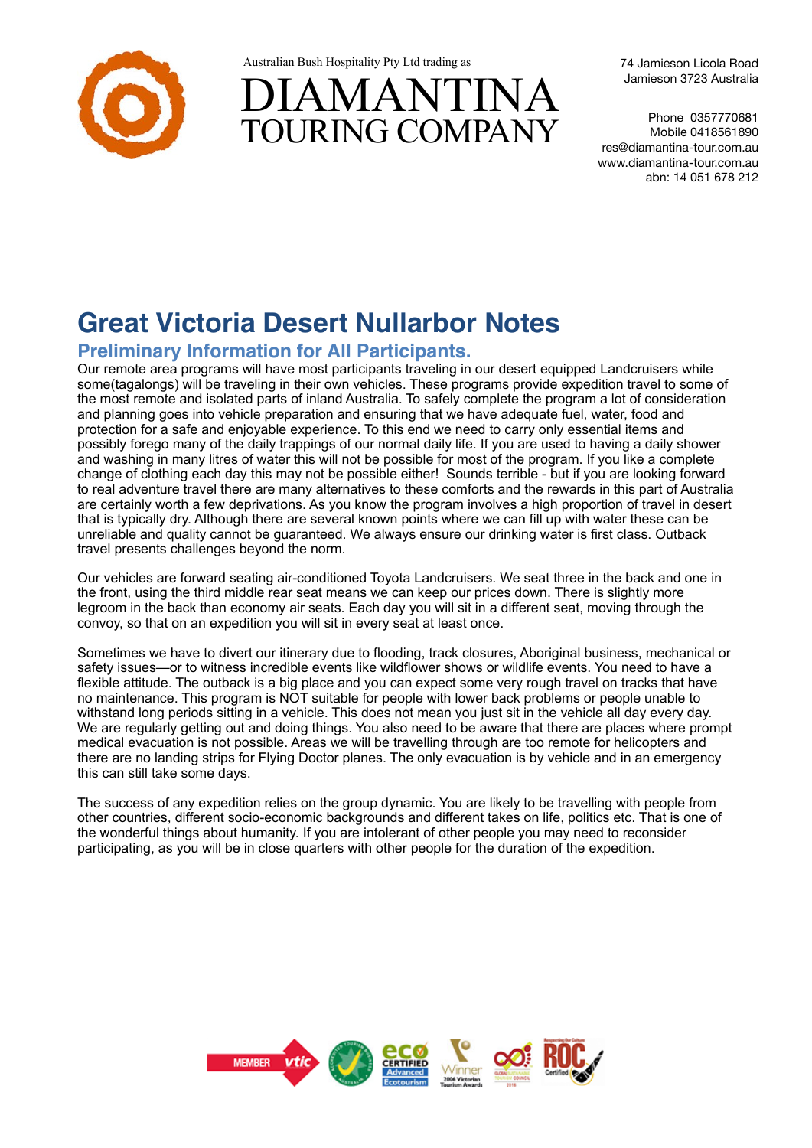

Australian Bush Hospitality Pty Ltd trading as



74 Jamieson Licola Road Jamieson 3723 Australia

Phone 0357770681 Mobile 0418561890 res@diamantina-tour.com.au www.diamantina-tour.com.au abn: 14 051 678 212

# **Great Victoria Desert Nullarbor Notes**

## **Preliminary Information for All Participants.**

Our remote area programs will have most participants traveling in our desert equipped Landcruisers while some(tagalongs) will be traveling in their own vehicles. These programs provide expedition travel to some of the most remote and isolated parts of inland Australia. To safely complete the program a lot of consideration and planning goes into vehicle preparation and ensuring that we have adequate fuel, water, food and protection for a safe and enjoyable experience. To this end we need to carry only essential items and possibly forego many of the daily trappings of our normal daily life. If you are used to having a daily shower and washing in many litres of water this will not be possible for most of the program. If you like a complete change of clothing each day this may not be possible either! Sounds terrible - but if you are looking forward to real adventure travel there are many alternatives to these comforts and the rewards in this part of Australia are certainly worth a few deprivations. As you know the program involves a high proportion of travel in desert that is typically dry. Although there are several known points where we can fill up with water these can be unreliable and quality cannot be guaranteed. We always ensure our drinking water is first class. Outback travel presents challenges beyond the norm.

Our vehicles are forward seating air-conditioned Toyota Landcruisers. We seat three in the back and one in the front, using the third middle rear seat means we can keep our prices down. There is slightly more legroom in the back than economy air seats. Each day you will sit in a different seat, moving through the convoy, so that on an expedition you will sit in every seat at least once.

Sometimes we have to divert our itinerary due to flooding, track closures, Aboriginal business, mechanical or safety issues—or to witness incredible events like wildflower shows or wildlife events. You need to have a flexible attitude. The outback is a big place and you can expect some very rough travel on tracks that have no maintenance. This program is NOT suitable for people with lower back problems or people unable to withstand long periods sitting in a vehicle. This does not mean you just sit in the vehicle all day every day. We are regularly getting out and doing things. You also need to be aware that there are places where prompt medical evacuation is not possible. Areas we will be travelling through are too remote for helicopters and there are no landing strips for Flying Doctor planes. The only evacuation is by vehicle and in an emergency this can still take some days.

The success of any expedition relies on the group dynamic. You are likely to be travelling with people from other countries, different socio-economic backgrounds and different takes on life, politics etc. That is one of the wonderful things about humanity. If you are intolerant of other people you may need to reconsider participating, as you will be in close quarters with other people for the duration of the expedition.

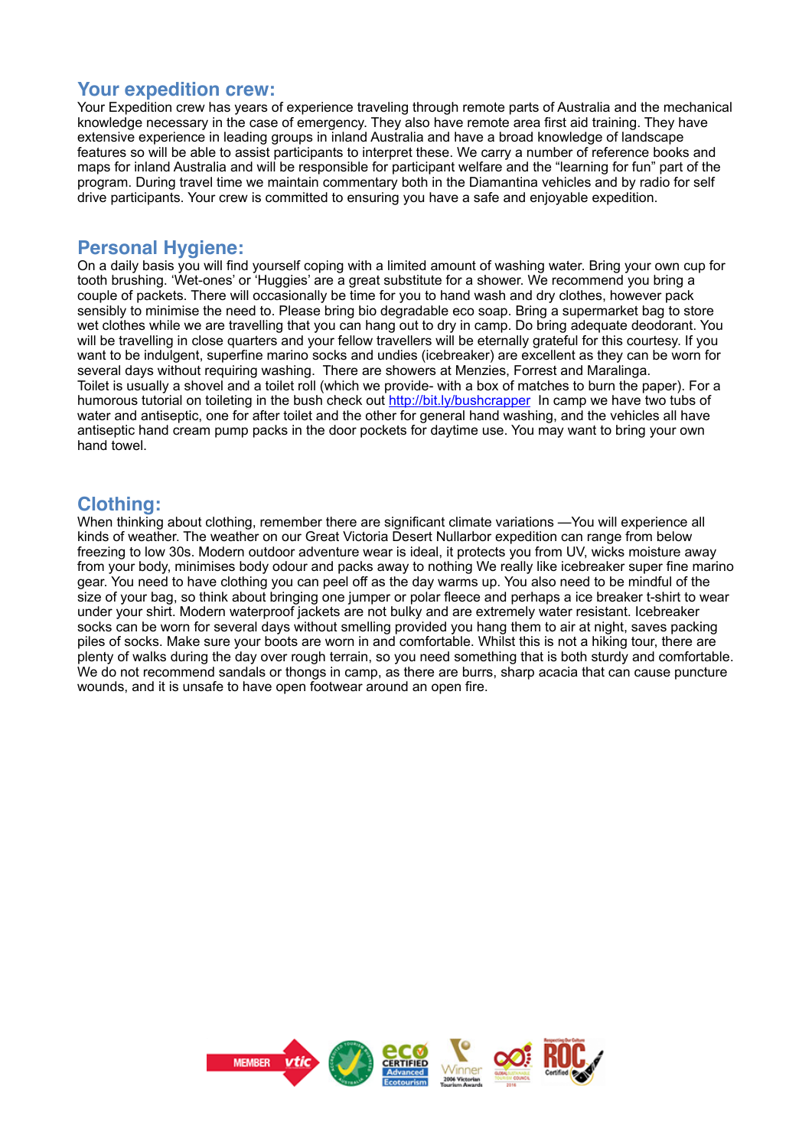## **Your expedition crew:**

Your Expedition crew has years of experience traveling through remote parts of Australia and the mechanical knowledge necessary in the case of emergency. They also have remote area first aid training. They have extensive experience in leading groups in inland Australia and have a broad knowledge of landscape features so will be able to assist participants to interpret these. We carry a number of reference books and maps for inland Australia and will be responsible for participant welfare and the "learning for fun" part of the program. During travel time we maintain commentary both in the Diamantina vehicles and by radio for self drive participants. Your crew is committed to ensuring you have a safe and enjoyable expedition.

#### **Personal Hygiene:**

On a daily basis you will find yourself coping with a limited amount of washing water. Bring your own cup for tooth brushing. 'Wet-ones' or 'Huggies' are a great substitute for a shower. We recommend you bring a couple of packets. There will occasionally be time for you to hand wash and dry clothes, however pack sensibly to minimise the need to. Please bring bio degradable eco soap. Bring a supermarket bag to store wet clothes while we are travelling that you can hang out to dry in camp. Do bring adequate deodorant. You will be travelling in close quarters and your fellow travellers will be eternally grateful for this courtesy. If you want to be indulgent, superfine marino socks and undies (icebreaker) are excellent as they can be worn for several days without requiring washing. There are showers at Menzies, Forrest and Maralinga. Toilet is usually a shovel and a toilet roll (which we provide- with a box of matches to burn the paper). For a humorous tutorial on toileting in the bush check out<http://bit.ly/bushcrapper> In camp we have two tubs of water and antiseptic, one for after toilet and the other for general hand washing, and the vehicles all have antiseptic hand cream pump packs in the door pockets for daytime use. You may want to bring your own hand towel.

### **Clothing:**

When thinking about clothing, remember there are significant climate variations —You will experience all kinds of weather. The weather on our Great Victoria Desert Nullarbor expedition can range from below freezing to low 30s. Modern outdoor adventure wear is ideal, it protects you from UV, wicks moisture away from your body, minimises body odour and packs away to nothing We really like icebreaker super fine marino gear. You need to have clothing you can peel off as the day warms up. You also need to be mindful of the size of your bag, so think about bringing one jumper or polar fleece and perhaps a ice breaker t-shirt to wear under your shirt. Modern waterproof jackets are not bulky and are extremely water resistant. Icebreaker socks can be worn for several days without smelling provided you hang them to air at night, saves packing piles of socks. Make sure your boots are worn in and comfortable. Whilst this is not a hiking tour, there are plenty of walks during the day over rough terrain, so you need something that is both sturdy and comfortable. We do not recommend sandals or thongs in camp, as there are burrs, sharp acacia that can cause puncture wounds, and it is unsafe to have open footwear around an open fire.

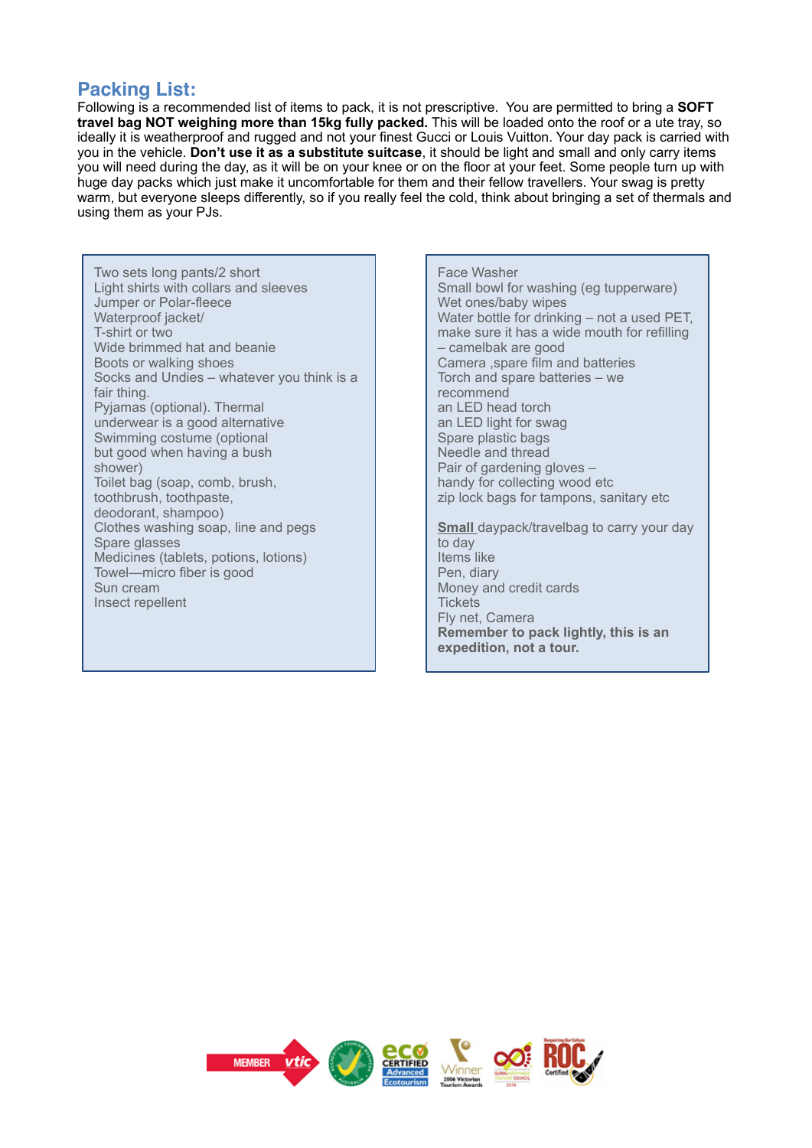## **Packing List:**

Following is a recommended list of items to pack, it is not prescriptive. You are permitted to bring a **SOFT travel bag NOT weighing more than 15kg fully packed.** This will be loaded onto the roof or a ute tray, so ideally it is weatherproof and rugged and not your finest Gucci or Louis Vuitton. Your day pack is carried with you in the vehicle. **Don't use it as a substitute suitcase**, it should be light and small and only carry items you will need during the day, as it will be on your knee or on the floor at your feet. Some people turn up with huge day packs which just make it uncomfortable for them and their fellow travellers. Your swag is pretty warm, but everyone sleeps differently, so if you really feel the cold, think about bringing a set of thermals and using them as your PJs.

Two sets long pants/2 short Light shirts with collars and sleeves Jumper or Polar-fleece Waterproof jacket/ T-shirt or two Wide brimmed hat and beanie Boots or walking shoes Socks and Undies – whatever you think is a fair thing. Pyjamas (optional). Thermal underwear is a good alternative Swimming costume (optional but good when having a bush shower) Toilet bag (soap, comb, brush, toothbrush, toothpaste, deodorant, shampoo) Clothes washing soap, line and pegs Spare glasses Medicines (tablets, potions, lotions) Towel—micro fiber is good Sun cream Insect repellent

Face Washer Small bowl for washing (eg tupperware) Wet ones/baby wipes Water bottle for drinking – not a used PET. make sure it has a wide mouth for refilling – camelbak are good Camera ,spare film and batteries Torch and spare batteries – we recommend an LED head torch an LED light for swag Spare plastic bags Needle and thread Pair of gardening gloves – handy for collecting wood etc zip lock bags for tampons, sanitary etc **Small** daypack/travelbag to carry your day to day Items like Pen, diary Money and credit cards **Tickets** Fly net, Camera

**Remember to pack lightly, this is an** 

**expedition, not a tour.**

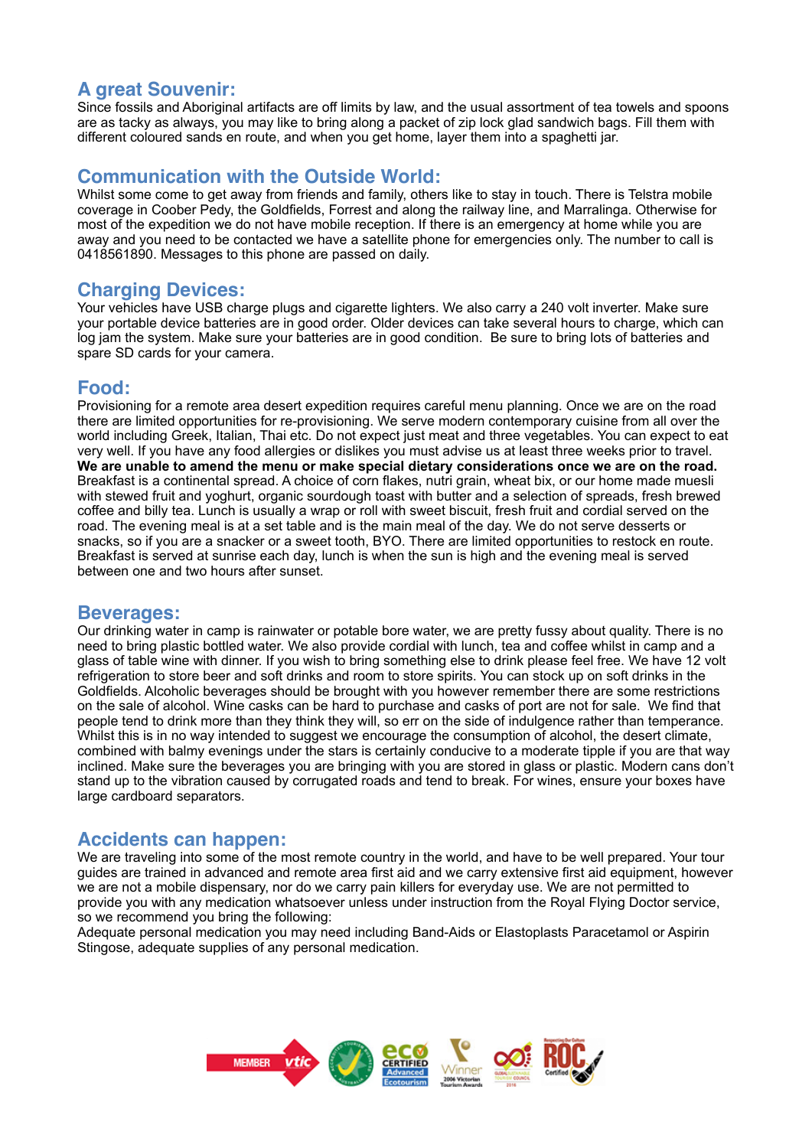# **A great Souvenir:**

Since fossils and Aboriginal artifacts are off limits by law, and the usual assortment of tea towels and spoons are as tacky as always, you may like to bring along a packet of zip lock glad sandwich bags. Fill them with different coloured sands en route, and when you get home, layer them into a spaghetti jar.

## **Communication with the Outside World:**

Whilst some come to get away from friends and family, others like to stay in touch. There is Telstra mobile coverage in Coober Pedy, the Goldfields, Forrest and along the railway line, and Marralinga. Otherwise for most of the expedition we do not have mobile reception. If there is an emergency at home while you are away and you need to be contacted we have a satellite phone for emergencies only. The number to call is 0418561890. Messages to this phone are passed on daily.

#### **Charging Devices:**

Your vehicles have USB charge plugs and cigarette lighters. We also carry a 240 volt inverter. Make sure your portable device batteries are in good order. Older devices can take several hours to charge, which can log jam the system. Make sure your batteries are in good condition. Be sure to bring lots of batteries and spare SD cards for your camera.

#### **Food:**

Provisioning for a remote area desert expedition requires careful menu planning. Once we are on the road there are limited opportunities for re-provisioning. We serve modern contemporary cuisine from all over the world including Greek, Italian, Thai etc. Do not expect just meat and three vegetables. You can expect to eat very well. If you have any food allergies or dislikes you must advise us at least three weeks prior to travel. **We are unable to amend the menu or make special dietary considerations once we are on the road.** Breakfast is a continental spread. A choice of corn flakes, nutri grain, wheat bix, or our home made muesli with stewed fruit and yoghurt, organic sourdough toast with butter and a selection of spreads, fresh brewed coffee and billy tea. Lunch is usually a wrap or roll with sweet biscuit, fresh fruit and cordial served on the road. The evening meal is at a set table and is the main meal of the day. We do not serve desserts or snacks, so if you are a snacker or a sweet tooth, BYO. There are limited opportunities to restock en route. Breakfast is served at sunrise each day, lunch is when the sun is high and the evening meal is served between one and two hours after sunset.

#### **Beverages:**

Our drinking water in camp is rainwater or potable bore water, we are pretty fussy about quality. There is no need to bring plastic bottled water. We also provide cordial with lunch, tea and coffee whilst in camp and a glass of table wine with dinner. If you wish to bring something else to drink please feel free. We have 12 volt refrigeration to store beer and soft drinks and room to store spirits. You can stock up on soft drinks in the Goldfields. Alcoholic beverages should be brought with you however remember there are some restrictions on the sale of alcohol. Wine casks can be hard to purchase and casks of port are not for sale. We find that people tend to drink more than they think they will, so err on the side of indulgence rather than temperance. Whilst this is in no way intended to suggest we encourage the consumption of alcohol, the desert climate, combined with balmy evenings under the stars is certainly conducive to a moderate tipple if you are that way inclined. Make sure the beverages you are bringing with you are stored in glass or plastic. Modern cans don't stand up to the vibration caused by corrugated roads and tend to break. For wines, ensure your boxes have large cardboard separators.

### **Accidents can happen:**

We are traveling into some of the most remote country in the world, and have to be well prepared. Your tour guides are trained in advanced and remote area first aid and we carry extensive first aid equipment, however we are not a mobile dispensary, nor do we carry pain killers for everyday use. We are not permitted to provide you with any medication whatsoever unless under instruction from the Royal Flying Doctor service, so we recommend you bring the following:

Adequate personal medication you may need including Band-Aids or Elastoplasts Paracetamol or Aspirin Stingose, adequate supplies of any personal medication.

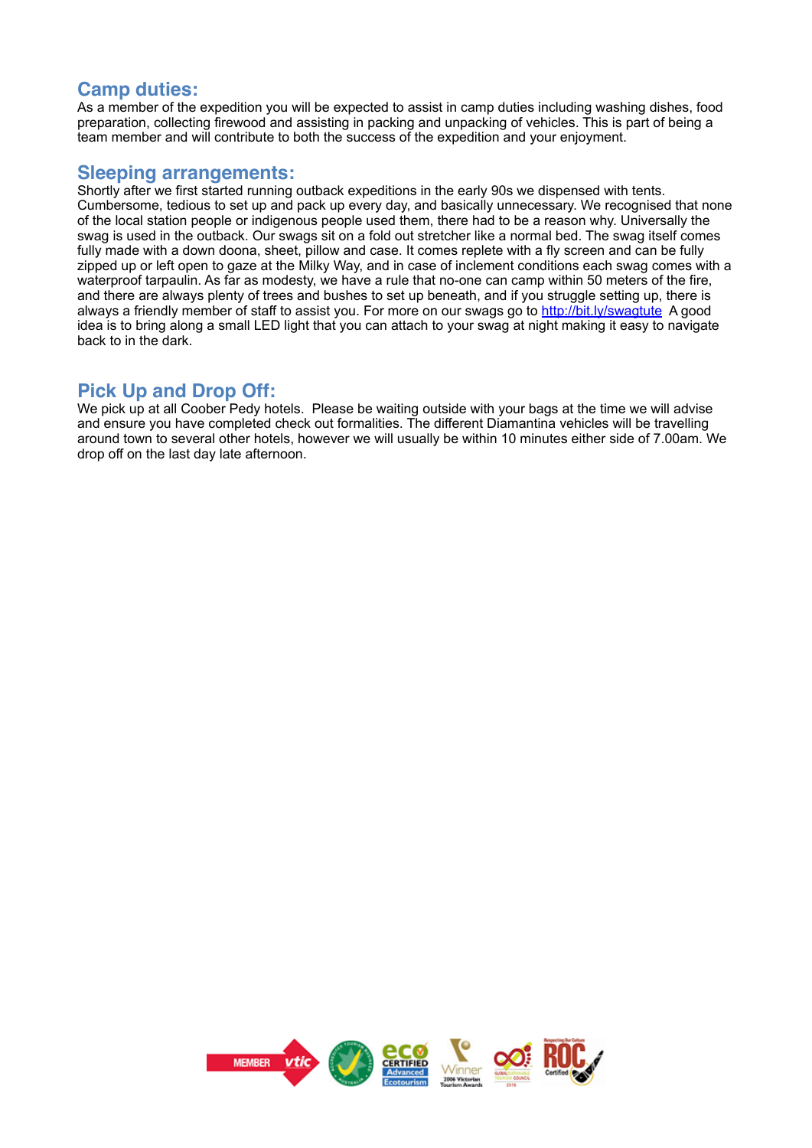## **Camp duties:**

As a member of the expedition you will be expected to assist in camp duties including washing dishes, food preparation, collecting firewood and assisting in packing and unpacking of vehicles. This is part of being a team member and will contribute to both the success of the expedition and your enjoyment.

#### **Sleeping arrangements:**

Shortly after we first started running outback expeditions in the early 90s we dispensed with tents. Cumbersome, tedious to set up and pack up every day, and basically unnecessary. We recognised that none of the local station people or indigenous people used them, there had to be a reason why. Universally the swag is used in the outback. Our swags sit on a fold out stretcher like a normal bed. The swag itself comes fully made with a down doona, sheet, pillow and case. It comes replete with a fly screen and can be fully zipped up or left open to gaze at the Milky Way, and in case of inclement conditions each swag comes with a waterproof tarpaulin. As far as modesty, we have a rule that no-one can camp within 50 meters of the fire, and there are always plenty of trees and bushes to set up beneath, and if you struggle setting up, there is always a friendly member of staff to assist you. For more on our swags go to<http://bit.ly/swagtute>A good idea is to bring along a small LED light that you can attach to your swag at night making it easy to navigate back to in the dark.

## **Pick Up and Drop Off:**

We pick up at all Coober Pedy hotels. Please be waiting outside with your bags at the time we will advise and ensure you have completed check out formalities. The different Diamantina vehicles will be travelling around town to several other hotels, however we will usually be within 10 minutes either side of 7.00am. We drop off on the last day late afternoon.

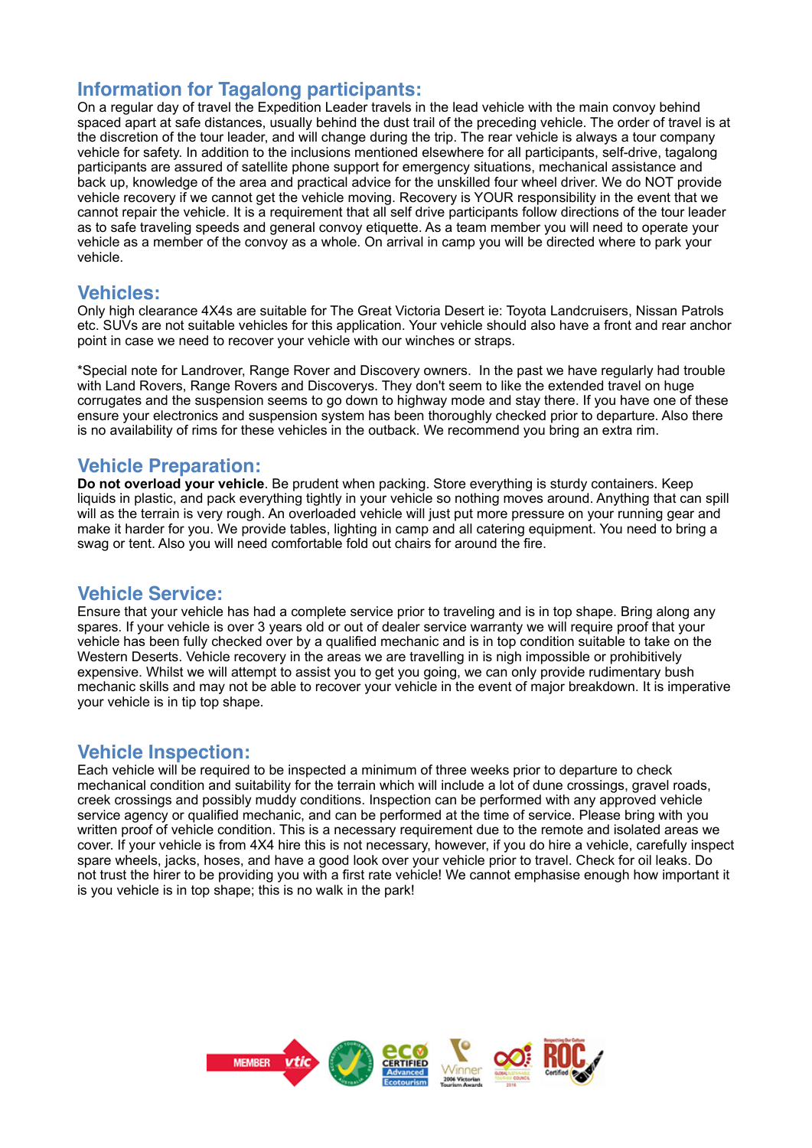## **Information for Tagalong participants:**

On a regular day of travel the Expedition Leader travels in the lead vehicle with the main convoy behind spaced apart at safe distances, usually behind the dust trail of the preceding vehicle. The order of travel is at the discretion of the tour leader, and will change during the trip. The rear vehicle is always a tour company vehicle for safety. In addition to the inclusions mentioned elsewhere for all participants, self-drive, tagalong participants are assured of satellite phone support for emergency situations, mechanical assistance and back up, knowledge of the area and practical advice for the unskilled four wheel driver. We do NOT provide vehicle recovery if we cannot get the vehicle moving. Recovery is YOUR responsibility in the event that we cannot repair the vehicle. It is a requirement that all self drive participants follow directions of the tour leader as to safe traveling speeds and general convoy etiquette. As a team member you will need to operate your vehicle as a member of the convoy as a whole. On arrival in camp you will be directed where to park your vehicle.

#### **Vehicles:**

Only high clearance 4X4s are suitable for The Great Victoria Desert ie: Toyota Landcruisers, Nissan Patrols etc. SUVs are not suitable vehicles for this application. Your vehicle should also have a front and rear anchor point in case we need to recover your vehicle with our winches or straps.

\*Special note for Landrover, Range Rover and Discovery owners. In the past we have regularly had trouble with Land Rovers, Range Rovers and Discoverys. They don't seem to like the extended travel on huge corrugates and the suspension seems to go down to highway mode and stay there. If you have one of these ensure your electronics and suspension system has been thoroughly checked prior to departure. Also there is no availability of rims for these vehicles in the outback. We recommend you bring an extra rim.

## **Vehicle Preparation:**

**Do not overload your vehicle**. Be prudent when packing. Store everything is sturdy containers. Keep liquids in plastic, and pack everything tightly in your vehicle so nothing moves around. Anything that can spill will as the terrain is very rough. An overloaded vehicle will just put more pressure on your running gear and make it harder for you. We provide tables, lighting in camp and all catering equipment. You need to bring a swag or tent. Also you will need comfortable fold out chairs for around the fire.

### **Vehicle Service:**

Ensure that your vehicle has had a complete service prior to traveling and is in top shape. Bring along any spares. If your vehicle is over 3 years old or out of dealer service warranty we will require proof that your vehicle has been fully checked over by a qualified mechanic and is in top condition suitable to take on the Western Deserts. Vehicle recovery in the areas we are travelling in is nigh impossible or prohibitively expensive. Whilst we will attempt to assist you to get you going, we can only provide rudimentary bush mechanic skills and may not be able to recover your vehicle in the event of major breakdown. It is imperative your vehicle is in tip top shape.

### **Vehicle Inspection:**

Each vehicle will be required to be inspected a minimum of three weeks prior to departure to check mechanical condition and suitability for the terrain which will include a lot of dune crossings, gravel roads, creek crossings and possibly muddy conditions. Inspection can be performed with any approved vehicle service agency or qualified mechanic, and can be performed at the time of service. Please bring with you written proof of vehicle condition. This is a necessary requirement due to the remote and isolated areas we cover. If your vehicle is from 4X4 hire this is not necessary, however, if you do hire a vehicle, carefully inspect spare wheels, jacks, hoses, and have a good look over your vehicle prior to travel. Check for oil leaks. Do not trust the hirer to be providing you with a first rate vehicle! We cannot emphasise enough how important it is you vehicle is in top shape; this is no walk in the park!

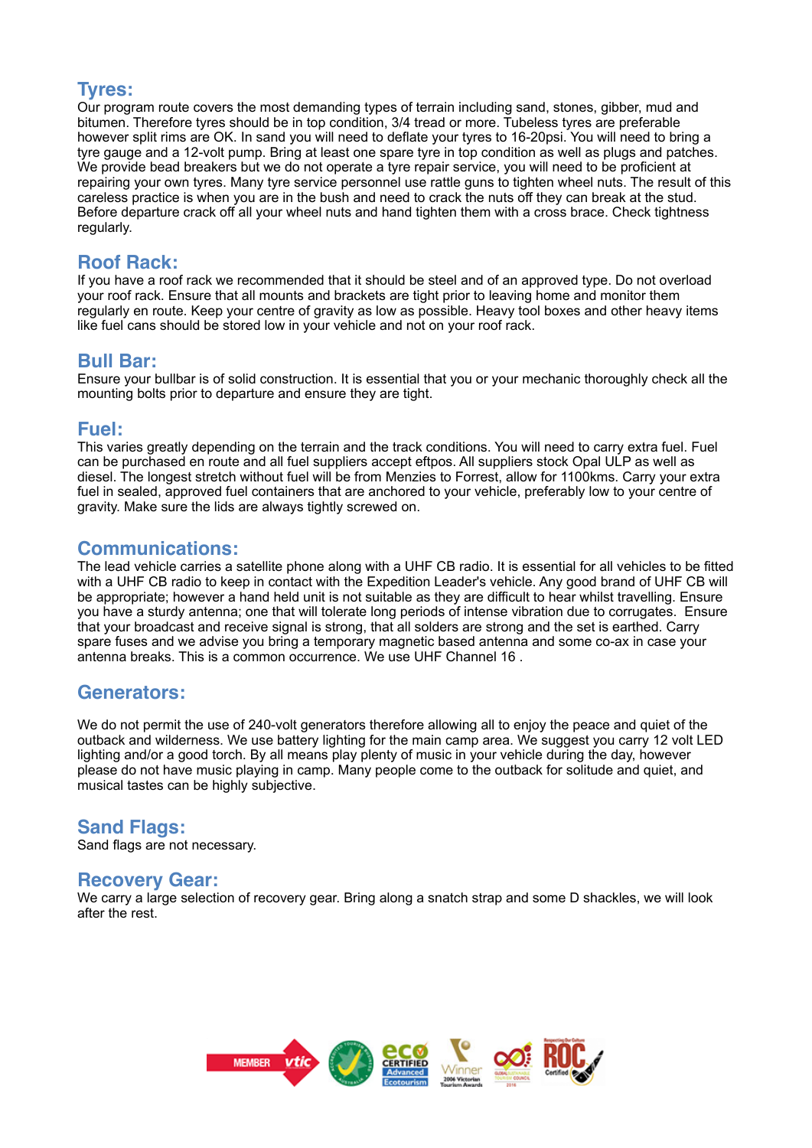## **Tyres:**

Our program route covers the most demanding types of terrain including sand, stones, gibber, mud and bitumen. Therefore tyres should be in top condition, 3/4 tread or more. Tubeless tyres are preferable however split rims are OK. In sand you will need to deflate your tyres to 16-20psi. You will need to bring a tyre gauge and a 12-volt pump. Bring at least one spare tyre in top condition as well as plugs and patches. We provide bead breakers but we do not operate a tyre repair service, you will need to be proficient at repairing your own tyres. Many tyre service personnel use rattle guns to tighten wheel nuts. The result of this careless practice is when you are in the bush and need to crack the nuts off they can break at the stud. Before departure crack off all your wheel nuts and hand tighten them with a cross brace. Check tightness regularly.

# **Roof Rack:**

If you have a roof rack we recommended that it should be steel and of an approved type. Do not overload your roof rack. Ensure that all mounts and brackets are tight prior to leaving home and monitor them regularly en route. Keep your centre of gravity as low as possible. Heavy tool boxes and other heavy items like fuel cans should be stored low in your vehicle and not on your roof rack.

#### **Bull Bar:**

Ensure your bullbar is of solid construction. It is essential that you or your mechanic thoroughly check all the mounting bolts prior to departure and ensure they are tight.

#### **Fuel:**

This varies greatly depending on the terrain and the track conditions. You will need to carry extra fuel. Fuel can be purchased en route and all fuel suppliers accept eftpos. All suppliers stock Opal ULP as well as diesel. The longest stretch without fuel will be from Menzies to Forrest, allow for 1100kms. Carry your extra fuel in sealed, approved fuel containers that are anchored to your vehicle, preferably low to your centre of gravity. Make sure the lids are always tightly screwed on.

### **Communications:**

The lead vehicle carries a satellite phone along with a UHF CB radio. It is essential for all vehicles to be fitted with a UHF CB radio to keep in contact with the Expedition Leader's vehicle. Any good brand of UHF CB will be appropriate; however a hand held unit is not suitable as they are difficult to hear whilst travelling. Ensure you have a sturdy antenna; one that will tolerate long periods of intense vibration due to corrugates. Ensure that your broadcast and receive signal is strong, that all solders are strong and the set is earthed. Carry spare fuses and we advise you bring a temporary magnetic based antenna and some co-ax in case your antenna breaks. This is a common occurrence. We use UHF Channel 16 .

## **Generators:**

We do not permit the use of 240-volt generators therefore allowing all to enjoy the peace and quiet of the outback and wilderness. We use battery lighting for the main camp area. We suggest you carry 12 volt LED lighting and/or a good torch. By all means play plenty of music in your vehicle during the day, however please do not have music playing in camp. Many people come to the outback for solitude and quiet, and musical tastes can be highly subjective.

### **Sand Flags:**

Sand flags are not necessary.

#### **Recovery Gear:**

We carry a large selection of recovery gear. Bring along a snatch strap and some D shackles, we will look after the rest.

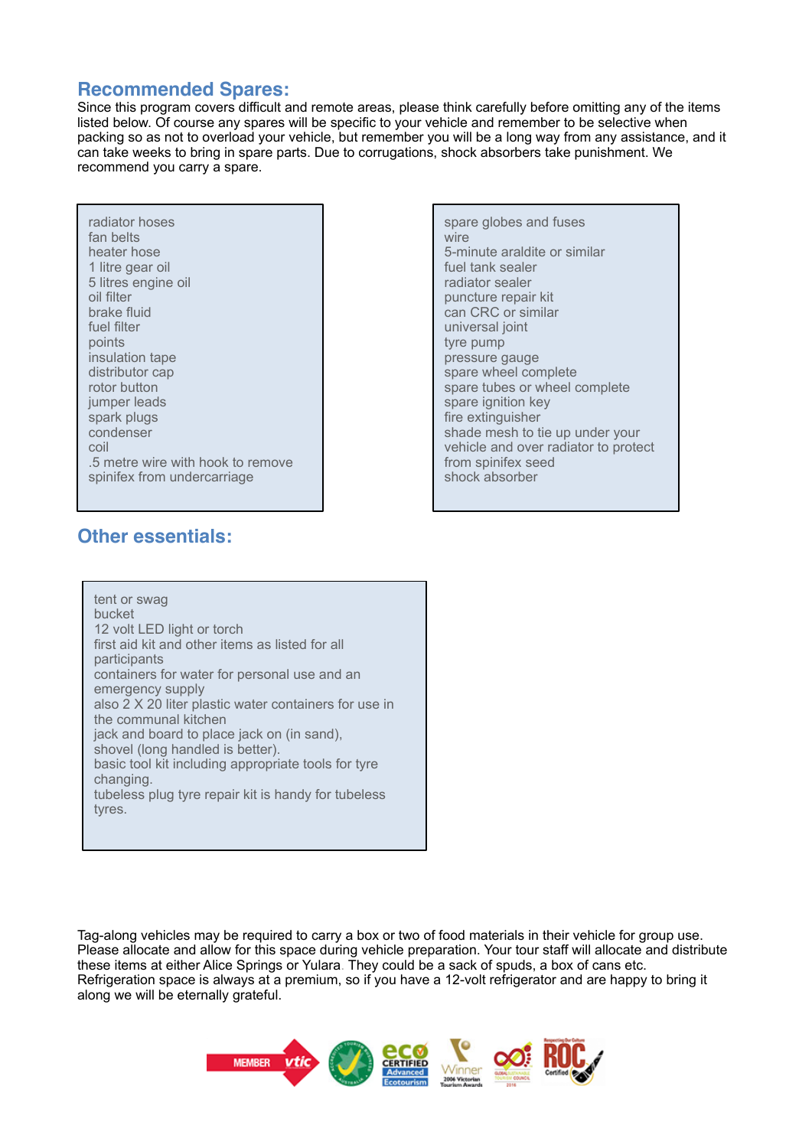# **Recommended Spares:**

Since this program covers difficult and remote areas, please think carefully before omitting any of the items listed below. Of course any spares will be specific to your vehicle and remember to be selective when packing so as not to overload your vehicle, but remember you will be a long way from any assistance, and it can take weeks to bring in spare parts. Due to corrugations, shock absorbers take punishment. We recommend you carry a spare.

| radiator hoses<br>fan belts<br>heater hose<br>1 litre gear oil<br>5 litres engine oil<br>oil filter<br>brake fluid<br>fuel filter<br>points<br>insulation tape<br>distributor cap<br>rotor button<br>jumper leads<br>spark plugs<br>condenser<br>coil<br>.5 metre wire with hook to remove<br>spinifex from undercarriage |
|---------------------------------------------------------------------------------------------------------------------------------------------------------------------------------------------------------------------------------------------------------------------------------------------------------------------------|
|---------------------------------------------------------------------------------------------------------------------------------------------------------------------------------------------------------------------------------------------------------------------------------------------------------------------------|

spare globes and fuses wire 5-minute araldite or similar fuel tank sealer radiator sealer puncture repair kit can CRC or similar universal joint tyre pump pressure gauge spare wheel complete spare tubes or wheel complete spare ignition key fire extinguisher shade mesh to tie up under your vehicle and over radiator to protect from spinifex seed shock absorber

# **Other essentials:**

tent or swag bucket 12 volt LED light or torch first aid kit and other items as listed for all participants containers for water for personal use and an emergency supply also 2 X 20 liter plastic water containers for use in the communal kitchen jack and board to place jack on (in sand), shovel (long handled is better). basic tool kit including appropriate tools for tyre changing. tubeless plug tyre repair kit is handy for tubeless tyres.

Tag-along vehicles may be required to carry a box or two of food materials in their vehicle for group use. Please allocate and allow for this space during vehicle preparation. Your tour staff will allocate and distribute these items at either Alice Springs or Yulara. They could be a sack of spuds, a box of cans etc. Refrigeration space is always at a premium, so if you have a 12-volt refrigerator and are happy to bring it along we will be eternally grateful.